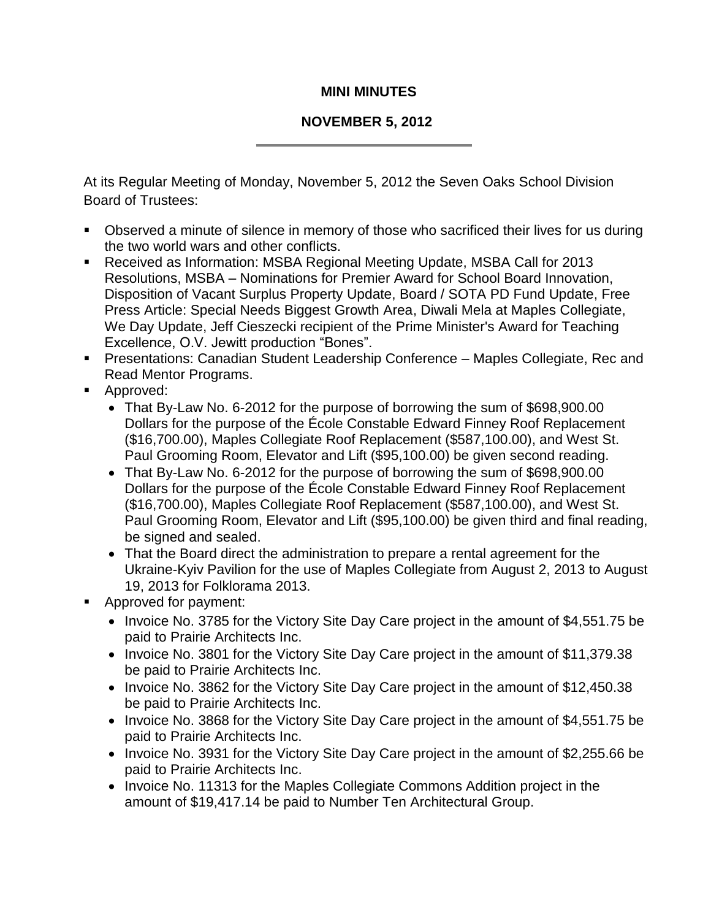## **MINI MINUTES**

## **NOVEMBER 5, 2012**

At its Regular Meeting of Monday, November 5, 2012 the Seven Oaks School Division Board of Trustees:

- Observed a minute of silence in memory of those who sacrificed their lives for us during the two world wars and other conflicts.
- Received as Information: MSBA Regional Meeting Update, MSBA Call for 2013 Resolutions, MSBA – Nominations for Premier Award for School Board Innovation, Disposition of Vacant Surplus Property Update, Board / SOTA PD Fund Update, Free Press Article: Special Needs Biggest Growth Area, Diwali Mela at Maples Collegiate, We Day Update, Jeff Cieszecki recipient of the Prime Minister's Award for Teaching Excellence, O.V. Jewitt production "Bones".
- Presentations: Canadian Student Leadership Conference Maples Collegiate, Rec and Read Mentor Programs.
- **Approved:** 
	- That By-Law No. 6-2012 for the purpose of borrowing the sum of \$698,900.00 Dollars for the purpose of the École Constable Edward Finney Roof Replacement (\$16,700.00), Maples Collegiate Roof Replacement (\$587,100.00), and West St. Paul Grooming Room, Elevator and Lift (\$95,100.00) be given second reading.
	- That By-Law No. 6-2012 for the purpose of borrowing the sum of \$698,900.00 Dollars for the purpose of the École Constable Edward Finney Roof Replacement (\$16,700.00), Maples Collegiate Roof Replacement (\$587,100.00), and West St. Paul Grooming Room, Elevator and Lift (\$95,100.00) be given third and final reading, be signed and sealed.
	- That the Board direct the administration to prepare a rental agreement for the Ukraine-Kyiv Pavilion for the use of Maples Collegiate from August 2, 2013 to August 19, 2013 for Folklorama 2013.
- **Approved for payment:** 
	- Invoice No. 3785 for the Victory Site Day Care project in the amount of \$4,551.75 be paid to Prairie Architects Inc.
	- Invoice No. 3801 for the Victory Site Day Care project in the amount of \$11,379.38 be paid to Prairie Architects Inc.
	- Invoice No. 3862 for the Victory Site Day Care project in the amount of \$12,450.38 be paid to Prairie Architects Inc.
	- Invoice No. 3868 for the Victory Site Day Care project in the amount of \$4,551.75 be paid to Prairie Architects Inc.
	- Invoice No. 3931 for the Victory Site Day Care project in the amount of \$2,255.66 be paid to Prairie Architects Inc.
	- Invoice No. 11313 for the Maples Collegiate Commons Addition project in the amount of \$19,417.14 be paid to Number Ten Architectural Group.